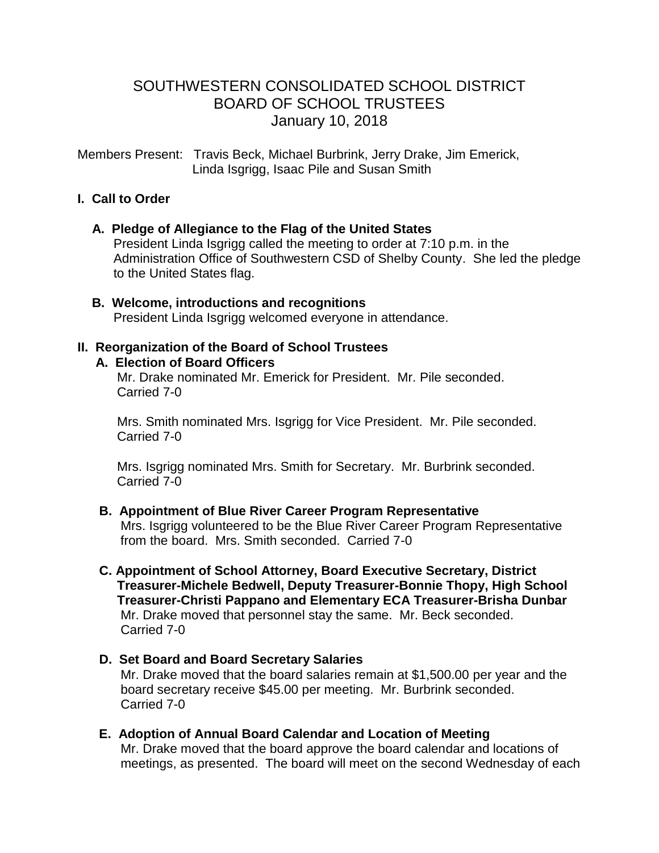# SOUTHWESTERN CONSOLIDATED SCHOOL DISTRICT BOARD OF SCHOOL TRUSTEES January 10, 2018

Members Present: Travis Beck, Michael Burbrink, Jerry Drake, Jim Emerick, Linda Isgrigg, Isaac Pile and Susan Smith

### **I. Call to Order**

#### **A. Pledge of Allegiance to the Flag of the United States**

 President Linda Isgrigg called the meeting to order at 7:10 p.m. in the Administration Office of Southwestern CSD of Shelby County. She led the pledge to the United States flag.

 **B. Welcome, introductions and recognitions** President Linda Isgrigg welcomed everyone in attendance.

#### **II. Reorganization of the Board of School Trustees**

#### **A. Election of Board Officers**

 Mr. Drake nominated Mr. Emerick for President. Mr. Pile seconded. Carried 7-0

 Mrs. Smith nominated Mrs. Isgrigg for Vice President. Mr. Pile seconded. Carried 7-0

 Mrs. Isgrigg nominated Mrs. Smith for Secretary. Mr. Burbrink seconded. Carried 7-0

#### **B. Appointment of Blue River Career Program Representative**

Mrs. Isgrigg volunteered to be the Blue River Career Program Representative from the board. Mrs. Smith seconded. Carried 7-0

- **C. Appointment of School Attorney, Board Executive Secretary, District Treasurer-Michele Bedwell, Deputy Treasurer-Bonnie Thopy, High School Treasurer-Christi Pappano and Elementary ECA Treasurer-Brisha Dunbar** Mr. Drake moved that personnel stay the same. Mr. Beck seconded. Carried 7-0
- **D. Set Board and Board Secretary Salaries** Mr. Drake moved that the board salaries remain at \$1,500.00 per year and the board secretary receive \$45.00 per meeting. Mr. Burbrink seconded. Carried 7-0
- **E. Adoption of Annual Board Calendar and Location of Meeting** Mr. Drake moved that the board approve the board calendar and locations of meetings, as presented. The board will meet on the second Wednesday of each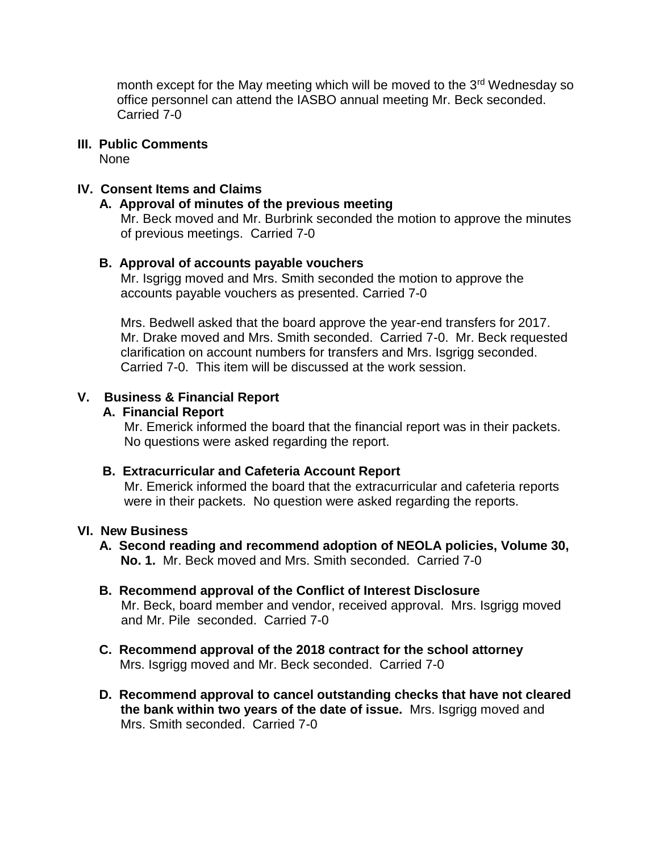month except for the May meeting which will be moved to the 3<sup>rd</sup> Wednesday so office personnel can attend the IASBO annual meeting Mr. Beck seconded. Carried 7-0

### **III. Public Comments**

None

### **IV. Consent Items and Claims**

#### **A. Approval of minutes of the previous meeting**

Mr. Beck moved and Mr. Burbrink seconded the motion to approve the minutes of previous meetings. Carried 7-0

#### **B. Approval of accounts payable vouchers**

 Mr. Isgrigg moved and Mrs. Smith seconded the motion to approve the accounts payable vouchers as presented. Carried 7-0

 Mrs. Bedwell asked that the board approve the year-end transfers for 2017. Mr. Drake moved and Mrs. Smith seconded. Carried 7-0. Mr. Beck requested clarification on account numbers for transfers and Mrs. Isgrigg seconded. Carried 7-0. This item will be discussed at the work session.

#### **V. Business & Financial Report**

#### **A. Financial Report**

 Mr. Emerick informed the board that the financial report was in their packets. No questions were asked regarding the report.

#### **B. Extracurricular and Cafeteria Account Report**

Mr. Emerick informed the board that the extracurricular and cafeteria reports were in their packets. No question were asked regarding the reports.

#### **VI. New Business**

### **A. Second reading and recommend adoption of NEOLA policies, Volume 30, No. 1.** Mr. Beck moved and Mrs. Smith seconded. Carried 7-0

- **B. Recommend approval of the Conflict of Interest Disclosure** Mr. Beck, board member and vendor, received approval. Mrs. Isgrigg moved and Mr. Pile seconded. Carried 7-0
- **C. Recommend approval of the 2018 contract for the school attorney** Mrs. Isgrigg moved and Mr. Beck seconded. Carried 7-0
- **D. Recommend approval to cancel outstanding checks that have not cleared the bank within two years of the date of issue.** Mrs. Isgrigg moved and Mrs. Smith seconded. Carried 7-0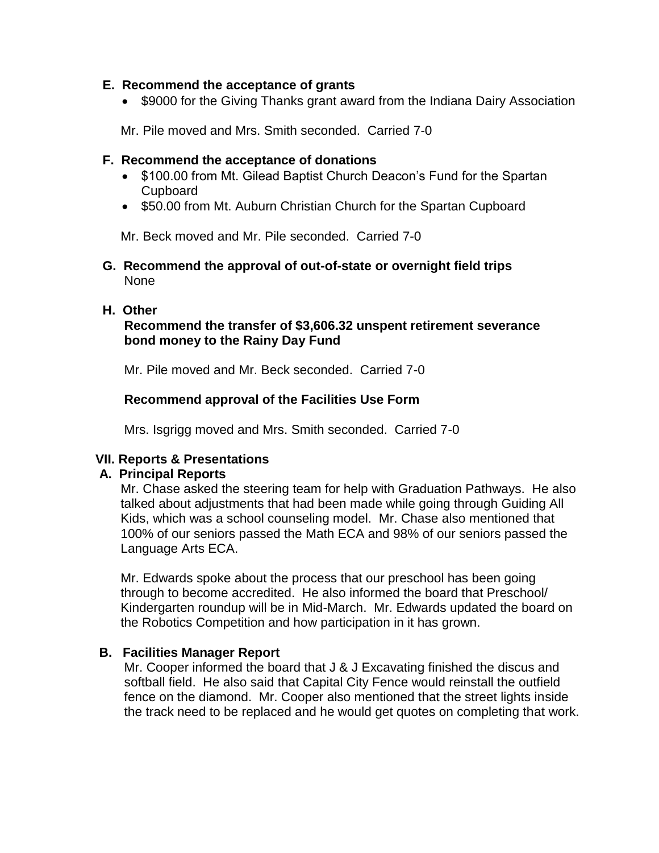#### **E. Recommend the acceptance of grants**

• \$9000 for the Giving Thanks grant award from the Indiana Dairy Association

Mr. Pile moved and Mrs. Smith seconded. Carried 7-0

#### **F. Recommend the acceptance of donations**

- \$100.00 from Mt. Gilead Baptist Church Deacon's Fund for the Spartan Cupboard
- \$50.00 from Mt. Auburn Christian Church for the Spartan Cupboard

Mr. Beck moved and Mr. Pile seconded. Carried 7-0

 **G. Recommend the approval of out-of-state or overnight field trips** None

#### **H. Other**

# **Recommend the transfer of \$3,606.32 unspent retirement severance bond money to the Rainy Day Fund**

Mr. Pile moved and Mr. Beck seconded. Carried 7-0

### **Recommend approval of the Facilities Use Form**

Mrs. Isgrigg moved and Mrs. Smith seconded. Carried 7-0

#### **VII. Reports & Presentations**

### **A. Principal Reports**

Mr. Chase asked the steering team for help with Graduation Pathways. He also talked about adjustments that had been made while going through Guiding All Kids, which was a school counseling model. Mr. Chase also mentioned that 100% of our seniors passed the Math ECA and 98% of our seniors passed the Language Arts ECA.

 Mr. Edwards spoke about the process that our preschool has been going through to become accredited. He also informed the board that Preschool/ Kindergarten roundup will be in Mid-March. Mr. Edwards updated the board on the Robotics Competition and how participation in it has grown.

### **B. Facilities Manager Report**

Mr. Cooper informed the board that J & J Excavating finished the discus and softball field. He also said that Capital City Fence would reinstall the outfield fence on the diamond. Mr. Cooper also mentioned that the street lights inside the track need to be replaced and he would get quotes on completing that work.